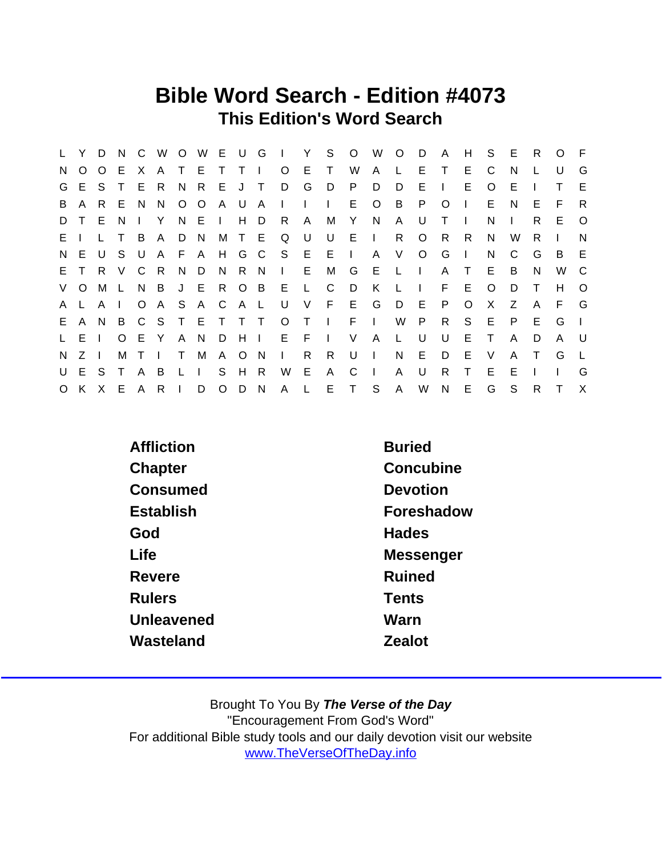#### Bible Word Search - Edition #4073 This Edition's Word Search

| L.       | Y.           | D              | N.           | $\mathsf{C}$   | W              |              | O W E U G    |         |             |                | <b>Contract Contract</b> | Y -          | S.           | $\overline{O}$ | W            | $\overline{O}$ | D.           | $\mathsf{A}$ | H            | S.       | -E           | R            | $\Omega$ | - F      |
|----------|--------------|----------------|--------------|----------------|----------------|--------------|--------------|---------|-------------|----------------|--------------------------|--------------|--------------|----------------|--------------|----------------|--------------|--------------|--------------|----------|--------------|--------------|----------|----------|
| N.       | $\circ$      | $\circ$        | E            | X.             | A              |              | T E          | T.      | $\top$      | $\blacksquare$ | $\circ$                  | E            | T.           | W              | $\mathsf{A}$ | L.             | E.           | $\top$       | E.           | C        | N.           |              | U        | G        |
|          | G E          | S.             | $\top$       |                | E R            |              | N R E        |         | J T         |                | D                        | G            | D            | P              | D            | D              | Е            | $\Box$       | E.           | O        | Е            |              | T.       | E        |
| B        | A            | R.             | E            | N.             | N.             |              | $O$ $O$      | A       | - U         | A              | $\mathbf{L}$             | $\Box$       | $\mathbf{L}$ | E.             | $\circ$      | B              | P.           | $\Omega$     | $\mathbf{I}$ | E.       | N.           | E            | F.       | -R       |
| D        | T.           | E              | N.           | $\mathbf{L}$   | Y              |              | N E          |         |             | H D            | - R                      | $\mathsf{A}$ | M            | Y              | N            | A              | U            | Т            | - 1          | N        | $\mathbf{L}$ | R.           | E.       | $\circ$  |
| $E \cup$ |              |                |              | B              | A              | D            | - N          |         | M T E       |                | Q U                      |              | U            | $E \cup$       |              | R.             | O            | - R          | R.           | N        | W            | R            |          | N        |
| N,       | E            | U              | S.           | U              |                | A F A        |              | H G C   |             |                | S E                      |              | $E \cup$     |                |              | A V            | $\circ$      | G            | $\mathbf{I}$ | N        | C            | G            | B        | E        |
|          | E T          |                | R V          |                | C R            |              | N D          | - N     | R N         |                | $I = E$                  |              | M            | G              | E            | $-L+L$         |              | A            | $\top$       | E        | B            | N            | W        | C.       |
|          | V O          | М              | $\mathsf{L}$ | N.             | $\overline{B}$ |              | J E R O B    |         |             |                | E                        | $\mathbf{L}$ | C            | D              | K            | $\perp$        | $\mathbf{L}$ | F.           | E.           | $\Omega$ | D            | $\top$       | H        | $\Omega$ |
| A.       |              | A              |              | $\circ$        | A S            |              | A C          |         | A L         |                | U                        | V            |              | F E G          |              | D              | - E          | P.           | $\circ$      | $\times$ | Z            | $\mathsf{A}$ | F.       | G        |
| E.       | $\mathsf{A}$ | N              | B            |                | C S T E T T T  |              |              |         |             |                |                          | $O$ T        | $\sim 1$ .   | $F \cup$       |              | W              | P.           | R            | S            | E        | P.           | E            | G        |          |
|          | L E          |                | $\Omega$     | E Y            |                | $\mathsf{A}$ | $\mathsf{N}$ | D.      | $H$ $\perp$ |                | E F                      |              | $\sim 1$ .   | V              | $\mathsf{A}$ | $\mathsf{L}$   | U            | U            | E            | $\top$   | A            | D            | A        | U        |
| N.       | Z            | $\blacksquare$ | M            | T <sub>1</sub> |                | $\top$       | M            |         | A O N       |                | $\mathbf{L}$             | R.           | R.           | U              | $\sim 1$ .   | N              | E.           | D            | E            | V        | A            | $\top$       | G        |          |
|          | U E S        |                | $\top$       | $\mathsf{A}$   | B              | $\mathsf{L}$ | $\Box$       | S.      | H           | - R            | W                        | E            | $\mathsf{A}$ | C              | $\mathbf{L}$ | A              | U            | R.           | Τ            | Е        | Е            |              |          | G        |
|          | O K X E      |                |              |                | A R            |              | D            | $\circ$ | D N         |                | A L                      |              |              | E T S          |              | $\mathsf{A}$   | W            | $\mathsf{N}$ | E.           | G        | S            | R.           | T.       | $\times$ |

| Affliction    | <b>Buried</b> |
|---------------|---------------|
| Chapter       | Concubine     |
| Consumed      | Devotion      |
| Establish     | Foreshadow    |
| God           | <b>Hades</b>  |
| Life          | Messenger     |
| Revere        | <b>Ruined</b> |
| <b>Rulers</b> | <b>Tents</b>  |
| Unleavened    | Warn          |
| Wasteland     | Zealot        |
|               |               |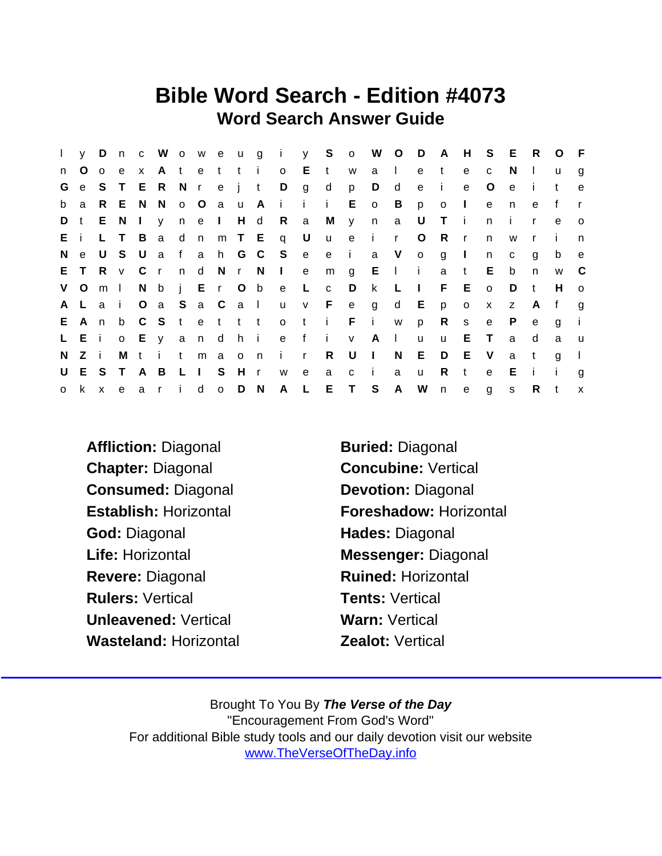### Bible Word Search - Edition #4073 Word Search Answer Guide

| $\mathbf{L}$ | y D         |                |     |                |                 |     |             |     |                |                       |              |                         |              | n c W o w e u g i y S o W O D A H S E |                |                |                |              |              |              | R            | $\circ$ | $-F$         |
|--------------|-------------|----------------|-----|----------------|-----------------|-----|-------------|-----|----------------|-----------------------|--------------|-------------------------|--------------|---------------------------------------|----------------|----------------|----------------|--------------|--------------|--------------|--------------|---------|--------------|
| n            | O           | $\circ$        | e   | $\mathbf{x}$   |                 |     | Atetti      |     |                | $\mathsf{o}$          | E            | $-t$                    | W            | a I                                   |                | e              | t              | e            | C            | N.           | $\mathbf{L}$ | u       | $\mathbf{q}$ |
| G            |             | e S T          |     |                | E R N r e j t   |     |             |     |                | $\Box$                | g            | $\mathsf{d}$            | p            | D                                     | d              | $\mathbf{e}$   | - i -          | e            | $\circ$      | e            | $\mathbf{I}$ | t       | $\mathbf{e}$ |
|              | b a         |                |     |                | R E N N         |     |             |     |                | o O a u A i i         |              | $\mathbf{I}$            | E            | $\overline{\mathbf{O}}$               | $\overline{B}$ | p              | $\overline{O}$ | $\mathbf{I}$ | e            | n            | e            | f       |              |
| D t          |             |                | E N | $\mathbf{I}$   |                 |     | y n e I H d |     |                | R a                   |              | M                       | $\mathsf{y}$ | n                                     | $\mathbf{a}$   | U              | $\top$         | - i          | $\mathsf{n}$ | $\mathbf{I}$ | $\mathsf{r}$ | e       | $\circ$      |
| Ei           |             |                | L T | $\overline{B}$ |                 |     |             |     |                | ad n m T E q U        |              | <b>u</b>                |              | e i r                                 |                | $\circ$        | R              | $\mathbf{r}$ | n            | W            |              |         | n            |
| N,           | e           | U S            |     | . U            |                 |     |             |     |                | a f a h G C S e       |              |                         |              | e i a V o                             |                |                | g              | $\mathbf{I}$ | n            | C            | g            | b       | e            |
|              | E T         |                |     |                |                 |     |             |     |                | R v C r n d N r N I e |              |                         |              | $m \t g \t E \t h$                    |                |                | a t            |              | E            | b            | n.           | W       | - C          |
|              | V O         | m <sub>l</sub> |     |                |                 |     |             |     |                | N b j E r O b e L     |              | $\mathbf{C}$            | D            | $\mathsf{k}$                          | $\mathsf{L}$   | $\blacksquare$ |                | $F - E$      | $\circ$      | D            | $-t$         | H       | $\Omega$     |
|              | A L a i     |                |     |                |                 |     |             |     | $Oa$ S a C a I |                       |              | uv Feg                  |              |                                       |                | d E            | p              | $\mathbf{o}$ | $\mathsf{X}$ | Z            | - A          | f       | g            |
|              | E A n       |                | b   |                |                 |     |             |     |                |                       |              | C S t e t t t o t i F i |              |                                       | W              | p              |                | $R$ s        | $\mathbf{e}$ | P.           | $\mathbf{e}$ | g       |              |
|              | $L$ $E$ $i$ |                |     |                | o E y a n d h i |     |             |     |                |                       |              |                         |              | e fiv Al                              |                | <b>u</b>       | $\mathsf{u}$   | E            | $\top$       | a            | d            | a       | <b>u</b>     |
| N.           | Z i         |                | М   |                | tit             |     | m a         |     | $o$ n          | i r                   |              | R                       | U            | $\mathbb{R}$                          | N              | E.             | D              | E            | V.           | a            | $-t$         | q       |              |
|              | U E S T     |                |     | A B            |                 | LIS |             | H r |                | W                     | $^{\circ}$ e | a                       | $\mathbf{C}$ | $\blacksquare$                        | a              | $\mathsf{u}$   | R              | $\mathbf{t}$ | e            | E            | $\mathbf{i}$ | -i-     | g            |
|              | o k x       |                | e   |                | ar i            |     | d o D N     |     |                | A L                   |              |                         | E T S        |                                       | A              | W n            |                | e            | $\mathbf{g}$ | S            | $R$ t        |         | $\mathsf{x}$ |

- Affliction: Diagonal Buried: Diagonal Chapter: Diagonal Concubine: Vertical Consumed: Diagonal Devotion: Diagonal God: Diagonal **Hades: Diagonal** Life: Horizontal **Messenger: Diagonal** Revere: Diagonal Ruined: Horizontal Rulers: Vertical **Tents: Vertical** Unleavened: Vertical Warn: Vertical Wasteland: Horizontal **Zealot: Vertical**
- Establish: Horizontal Foreshadow: Horizontal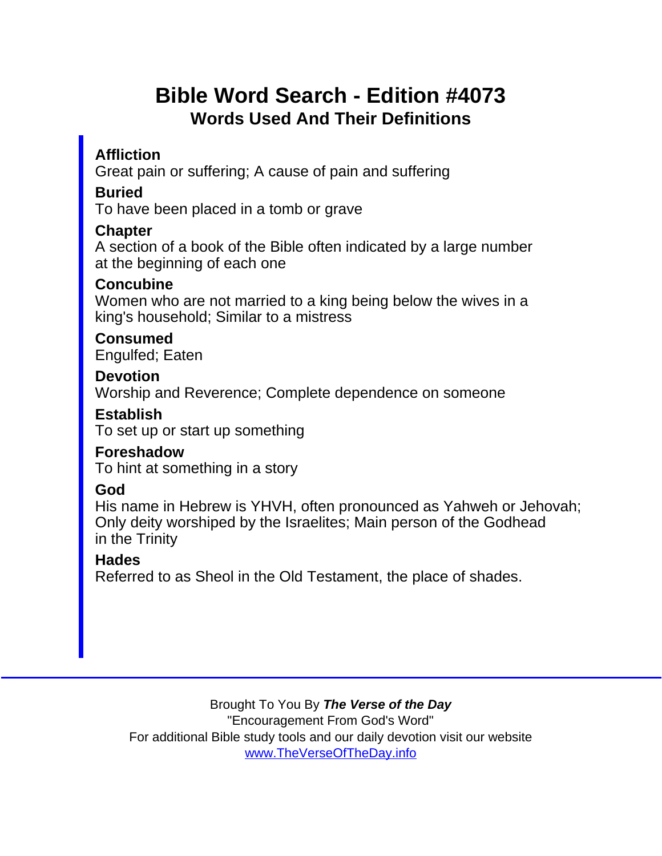# Bible Word Search - Edition #4073 Words Used And Their Definitions

**Affliction** 

Great pain or suffering; A cause of pain and suffering

Buried

To have been placed in a tomb or grave

**Chapter** 

A section of a book of the Bible often indicated by a large number at the beginning of each one

**Concubine** 

Women who are not married to a king being below the wives in a king's household; Similar to a mistress

Consumed Engulfed; Eaten

**Devotion** 

Worship and Reverence; Complete dependence on someone

Establish

To set up or start up something

Foreshadow To hint at something in a story

God

His name in Hebrew is YHVH, often pronounced as Yahweh or Jehovah; Only deity worshiped by the Israelites; Main person of the Godhead in the Trinity

**Hades** 

Referred to as Sheol in the Old Testament, the place of shades.